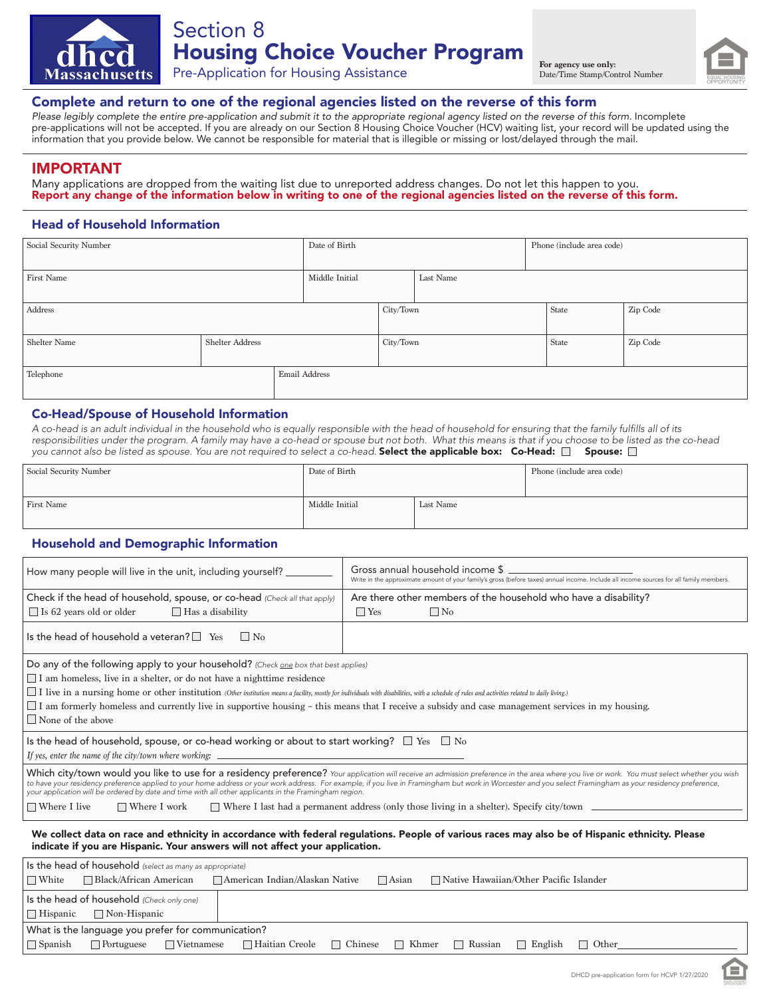



## Complete and return to one of the regional agencies listed on the reverse of this form

*Please legibly complete the entire pre-application and submit it to the appropriate regional agency listed on the reverse of this form.* Incomplete pre-applications will not be accepted. If you are already on our Section 8 Housing Choice Voucher (HCV) waiting list, your record will be updated using the information that you provide below. We cannot be responsible for material that is illegible or missing or lost/delayed through the mail.

## IMPORTANT

Many applications are dropped from the waiting list due to unreported address changes. Do not let this happen to you. Report any change of the information below in writing to one of the regional agencies listed on the reverse of this form.

## Head of Household Information

| Social Security Number |                 |  | Date of Birth  |           |           | Phone (include area code) |       |          |  |
|------------------------|-----------------|--|----------------|-----------|-----------|---------------------------|-------|----------|--|
| First Name             |                 |  | Middle Initial |           | Last Name |                           |       |          |  |
| Address                |                 |  |                | City/Town |           |                           | State | Zip Code |  |
| Shelter Name           | Shelter Address |  |                | City/Town |           |                           | State | Zip Code |  |
| Telephone              |                 |  | Email Address  |           |           |                           |       |          |  |

## Co-Head/Spouse of Household Information

*A co-head is an adult individual in the household who is equally responsible with the head of household for ensuring that the family fulfills all of its responsibilities under the program. A family may have a co-head or spouse but not both. What this means is that if you choose to be listed as the co-head*  you cannot also be listed as spouse. You are not required to select a co-head. **Select the applicable box: Co-Head:**  $\Box$  **Spouse:**  $\Box$ 

| Social Security Number | Date of Birth  |           | Phone (include area code) |
|------------------------|----------------|-----------|---------------------------|
| First Name             | Middle Initial | Last Name |                           |

## Household and Demographic Information

| How many people will live in the unit, including yourself?                                                                                                                                                                                                                                                                                                                                                                                                                                                                                                    | Gross annual household income \$<br>Write in the approximate amount of your family's gross (before taxes) annual income. Include all income sources for all family members. |  |  |  |  |
|---------------------------------------------------------------------------------------------------------------------------------------------------------------------------------------------------------------------------------------------------------------------------------------------------------------------------------------------------------------------------------------------------------------------------------------------------------------------------------------------------------------------------------------------------------------|-----------------------------------------------------------------------------------------------------------------------------------------------------------------------------|--|--|--|--|
| Check if the head of household, spouse, or co-head (Check all that apply)                                                                                                                                                                                                                                                                                                                                                                                                                                                                                     | Are there other members of the household who have a disability?                                                                                                             |  |  |  |  |
| $\Box$ Is 62 years old or older<br>$\Box$ Has a disability                                                                                                                                                                                                                                                                                                                                                                                                                                                                                                    | $\Box$ No<br>$\Box$ Yes                                                                                                                                                     |  |  |  |  |
| Is the head of household a veteran? $\square$ Yes<br>$\vert$   No                                                                                                                                                                                                                                                                                                                                                                                                                                                                                             |                                                                                                                                                                             |  |  |  |  |
| Do any of the following apply to your household? (Check one box that best applies)<br>$\Box$ I am homeless, live in a shelter, or do not have a nighttime residence<br>I live in a nursing home or other institution (Other institution means a facility, mostly for individuals with disabilities, with a schedule of rules and activities related to daily living.)<br>$\Box$ I am formerly homeless and currently live in supportive housing – this means that I receive a subsidy and case management services in my housing.<br>$\Box$ None of the above |                                                                                                                                                                             |  |  |  |  |
| Is the head of household, spouse, or co-head working or about to start working? $\square$ Yes $\square$ No<br>If yes, enter the name of the city/town where working:                                                                                                                                                                                                                                                                                                                                                                                          |                                                                                                                                                                             |  |  |  |  |

Which city/town would you like to use for a residency preference? *Your application will receive an admission preference in the area where you live or work. You must select whether you wish to have your residency preference applied to your home address or your work address. For example, if you live in Framingham but work in Worcester and you select Framingham as your residency preference, your application will be ordered by date and time with all other applicants in the Framingham region.*

Where I live Where I work Where I last had a permanent address (only those living in a shelter). Specify city/town

We collect data on race and ethnicity in accordance with federal regulations. People of various races may also be of Hispanic ethnicity. Please indicate if you are Hispanic. Your answers will not affect your application.

| Is the head of household (select as many as appropriate) |                                           |                   |                                              |  |        |                                               |                   |              |  |
|----------------------------------------------------------|-------------------------------------------|-------------------|----------------------------------------------|--|--------|-----------------------------------------------|-------------------|--------------|--|
| $\Box$ White                                             |                                           |                   |                                              |  | □Asian | $\Box$ Native Hawaiian/Other Pacific Islander |                   |              |  |
|                                                          | Is the head of household (Check only one) |                   |                                              |  |        |                                               |                   |              |  |
| $\Box$ Hispanic                                          | □ Non-Hispanic                            |                   |                                              |  |        |                                               |                   |              |  |
| What is the language you prefer for communication?       |                                           |                   |                                              |  |        |                                               |                   |              |  |
| $\Box$ Spanish                                           | $\Box$ Portuguese                         | $\Box$ Vietnamese | □ Haitian Creole □ Chinese □ Khmer □ Russian |  |        |                                               | $\Box$<br>English | $\Box$ Other |  |